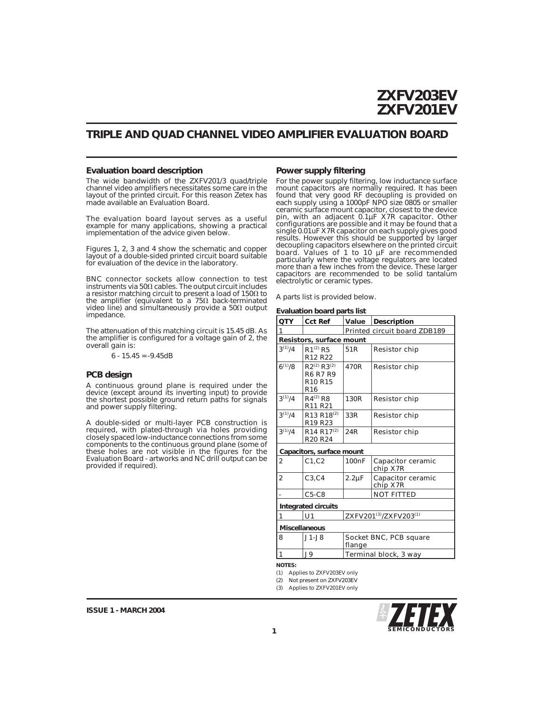### **TRIPLE AND QUAD CHANNEL VIDEO AMPLIFIER EVALUATION BOARD**

#### **Evaluation board description**

The wide bandwidth of the ZXFV201/3 quad/triple channel video amplifiers necessitates some care in the layout of the printed circuit. For this reason Zetex has made available an Evaluation Board.

The evaluation board layout serves as a useful example for many applications, showing a practical implementation of the advice given below.

Figures 1, 2, 3 and 4 show the schematic and copper layout of a double-sided printed circuit board suitable for evaluation of the device in the laboratory.

BNC connector sockets allow connection to test<br>instruments via 50Ω cables. The output circuit includes a resistor matching circuit to present a load of 150 $\Omega$  to the amplifier (equivalent to a 75 $\Omega$  back-terminated video line) and simultaneously provide a 50 $\Omega$  output impedance.

The attenuation of this matching circuit is 15.45 dB. As the amplifier is configured for a voltage gain of 2, the overall gain is:

6 - 15.45 = -9.45dB

#### **PCB design**

A continuous ground plane is required under the device (except around its inverting input) to provide the shortest possible ground return paths for signals and power supply filtering.

A double-sided or multi-layer PCB construction is required, with plated-through via holes providing closely spaced low-inductance connections from some components to the continuous ground plane (some of these holes are not visible in the figures for the Evaluation Board - artworks and NC drill output can be provided if required).

#### **Power supply filtering**

For the power supply filtering, low inductance surface mount capacitors are normally required. It has been found that very good RF decoupling is provided on each supply using a 1000pF NPO size 0805 or smaller ceramic surface mount capacitor, closest to the device pin, with an adjacent 0.1µF X7R capacitor. Other configurations are possible and it may be found that a single 0.01uF X7R capacitor on each supply gives good results. However this should be supported by larger decoupling capacitors elsewhere on the printed circuit board. Values of 1 to 10 µF are recommended particularly where the voltage regulators are located more than a few inches from the device. These larger capacitors are recommended to be solid tantalum electrolytic or ceramic types.

A parts list is provided below.

**Evaluation board parts list**

| QTY                       | <b>Cct Ref</b>                                                                               | Value                            | Description                   |  |  |  |  |
|---------------------------|----------------------------------------------------------------------------------------------|----------------------------------|-------------------------------|--|--|--|--|
| 1                         |                                                                                              | Printed circuit board ZDB189     |                               |  |  |  |  |
| Resistors, surface mount  |                                                                                              |                                  |                               |  |  |  |  |
| $3^{(1)}/4$               | $R1^{(2)} R5$<br>R <sub>12</sub> R <sub>22</sub>                                             | 51 <sub>R</sub>                  | Resistor chip                 |  |  |  |  |
| $6^{(1)}/8$               | $R2^{(2)} R3^{(2)}$<br><b>R6 R7 R9</b><br>R <sub>10</sub> R <sub>15</sub><br>R <sub>16</sub> | 470R                             | Resistor chip                 |  |  |  |  |
| $3^{(1)}/4$               | $R4^{(2)} R8$<br>R <sub>11</sub> R <sub>21</sub>                                             | 130R                             | Resistor chip                 |  |  |  |  |
| $3^{(1)}/4$               | R <sub>13</sub> R <sub>18</sub> <sup>(2)</sup><br>R <sub>19</sub> R <sub>23</sub>            | 33R                              | Resistor chip                 |  |  |  |  |
| $3^{(1)}/4$               | R <sub>14</sub> R <sub>17</sub> $(2)$<br>R <sub>20</sub> R <sub>24</sub>                     | 24R                              | Resistor chip                 |  |  |  |  |
| Capacitors, surface mount |                                                                                              |                                  |                               |  |  |  |  |
| 2                         | C1.C2                                                                                        | 100nF                            | Capacitor ceramic<br>chip X7R |  |  |  |  |
| $\overline{2}$            | C3, C4                                                                                       | $2.2\mu F$                       | Capacitor ceramic<br>chip X7R |  |  |  |  |
|                           | $C5-C8$                                                                                      |                                  | NOT FITTED                    |  |  |  |  |
| Integrated circuits       |                                                                                              |                                  |                               |  |  |  |  |
| 1                         | U <sub>1</sub>                                                                               | ZXFV201(3)/ZXFV203(1)            |                               |  |  |  |  |
| <b>Miscellaneous</b>      |                                                                                              |                                  |                               |  |  |  |  |
| 8                         | $J1-J8$                                                                                      | Socket BNC, PCB square<br>flange |                               |  |  |  |  |
| 1                         | J9                                                                                           | Terminal block, 3 way            |                               |  |  |  |  |

**NOTES:**

(1) Applies to ZXFV203EV only

(2) Not present on ZXFV203EV

(3) Applies to ZXFV201EV only

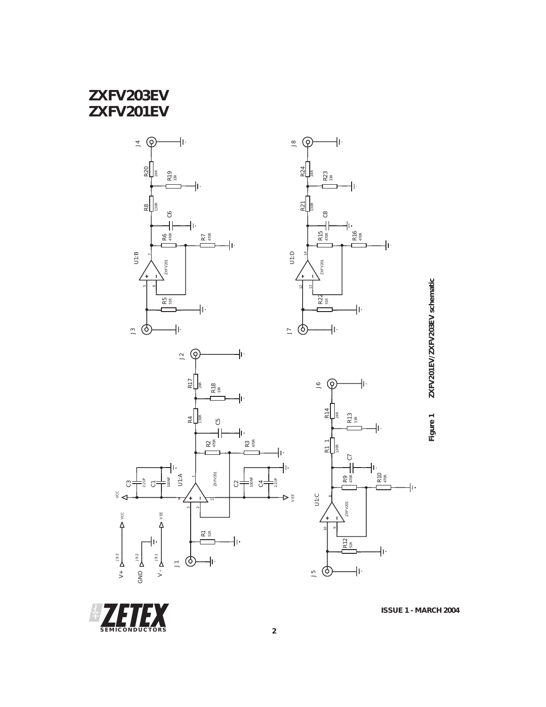# **ZXFV203EV ZXFV201EV**









ZXFV201EV/ZXFV203EV schematic **Figure 1 ZXFV201EV/ZXFV203EV schematic**Figure 1

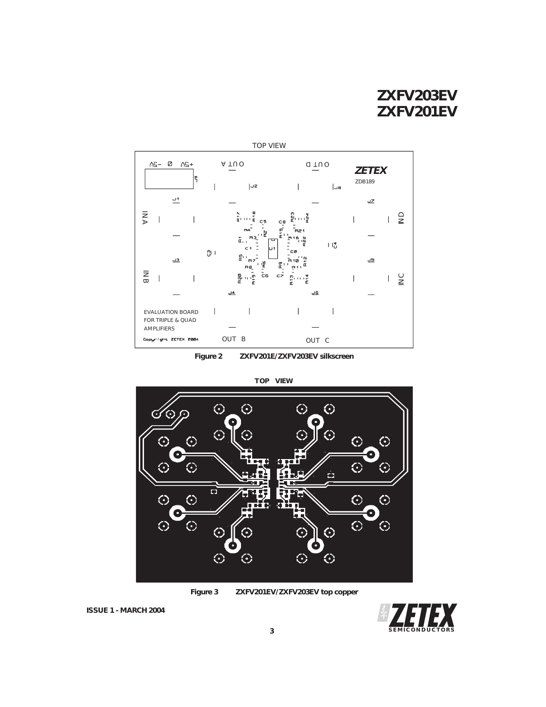# **ZXFV203EV ZXFV201EV**



**Figure 2 ZXFV201E/ZXFV203EV silkscreen**



**Figure 3 ZXFV201EV/ZXFV203EV top copper**

**SEMICONDUCTORS**